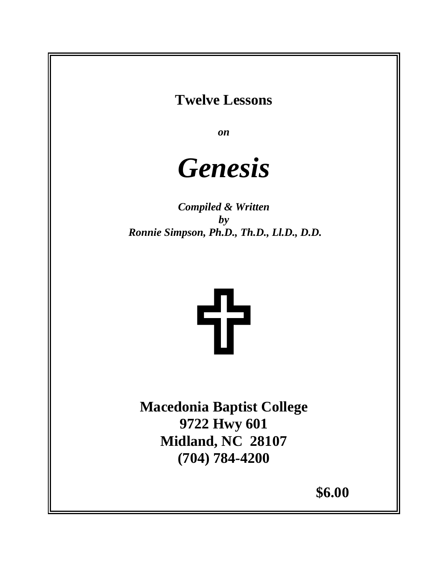# **Twelve Lessons**

*on*

# *Genesis*

*Compiled & Written by Ronnie Simpson, Ph.D., Th.D., Ll.D., D.D.*



**Macedonia Baptist College 9722 Hwy 601 Midland, NC 28107 (704) 784-4200** 

**\$6.00**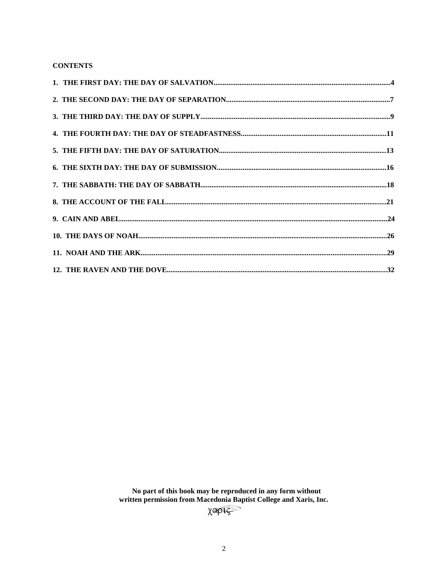# **CONTENTS**

No part of this book may be reproduced in any form without written permission from Macedonia Baptist College and Xaris, Inc.<br> $\chi$  and Xaris, Inc.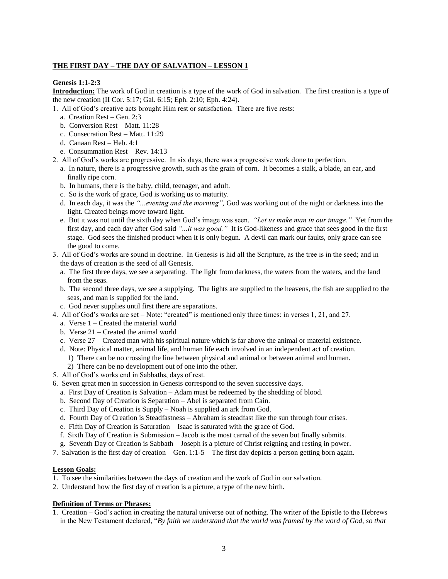#### **THE FIRST DAY – THE DAY OF SALVATION – LESSON 1**

#### **Genesis 1:1-2:3**

**Introduction:** The work of God in creation is a type of the work of God in salvation. The first creation is a type of the new creation (II Cor. 5:17; Gal. 6:15; Eph. 2:10; Eph. 4:24).

- 1. All of God's creative acts brought Him rest or satisfaction. There are five rests:
	- a. Creation Rest Gen. 2:3
	- b. Conversion Rest Matt. 11:28
	- c. Consecration Rest Matt. 11:29
	- d. Canaan Rest Heb. 4:1
	- e. Consummation Rest Rev. 14:13
- 2. All of God's works are progressive. In six days, there was a progressive work done to perfection.
	- a. In nature, there is a progressive growth, such as the grain of corn. It becomes a stalk, a blade, an ear, and finally ripe corn.
	- b. In humans, there is the baby, child, teenager, and adult.
	- c. So is the work of grace, God is working us to maturity.
	- d. In each day, it was the *"...evening and the morning",* God was working out of the night or darkness into the light. Created beings move toward light.
	- e. But it was not until the sixth day when God's image was seen. *"Let us make man in our image."* Yet from the first day, and each day after God said *"...it was good."* It is God-likeness and grace that sees good in the first stage. God sees the finished product when it is only begun. A devil can mark our faults, only grace can see the good to come.
- 3. All of God's works are sound in doctrine. In Genesis is hid all the Scripture, as the tree is in the seed; and in the days of creation is the seed of all Genesis.
	- a. The first three days, we see a separating. The light from darkness, the waters from the waters, and the land from the seas.
	- b. The second three days, we see a supplying. The lights are supplied to the heavens, the fish are supplied to the seas, and man is supplied for the land.
	- c. God never supplies until first there are separations.
- 4. All of God's works are set Note: "created" is mentioned only three times: in verses 1, 21, and 27.
	- a. Verse 1 Created the material world
	- b. Verse 21 Created the animal world
	- c. Verse 27 Created man with his spiritual nature which is far above the animal or material existence.
	- d. Note: Physical matter, animal life, and human life each involved in an independent act of creation.
	- 1) There can be no crossing the line between physical and animal or between animal and human.
	- 2) There can be no development out of one into the other.
- 5. All of God's works end in Sabbaths, days of rest.
- 6. Seven great men in succession in Genesis correspond to the seven successive days.
	- a. First Day of Creation is Salvation Adam must be redeemed by the shedding of blood.
	- b. Second Day of Creation is Separation Abel is separated from Cain.
	- c. Third Day of Creation is Supply Noah is supplied an ark from God.
	- d. Fourth Day of Creation is Steadfastness Abraham is steadfast like the sun through four crises.
	- e. Fifth Day of Creation is Saturation Isaac is saturated with the grace of God.
	- f. Sixth Day of Creation is Submission Jacob is the most carnal of the seven but finally submits.
	- g. Seventh Day of Creation is Sabbath Joseph is a picture of Christ reigning and resting in power.
- 7. Salvation is the first day of creation Gen. 1:1-5 The first day depicts a person getting born again.

#### **Lesson Goals:**

- 1. To see the similarities between the days of creation and the work of God in our salvation.
- 2. Understand how the first day of creation is a picture, a type of the new birth.

#### **Definition of Terms or Phrases:**

1. Creation – God's action in creating the natural universe out of nothing. The writer of the Epistle to the Hebrews in the New Testament declared, "*By faith we understand that the world was framed by the word of God, so that*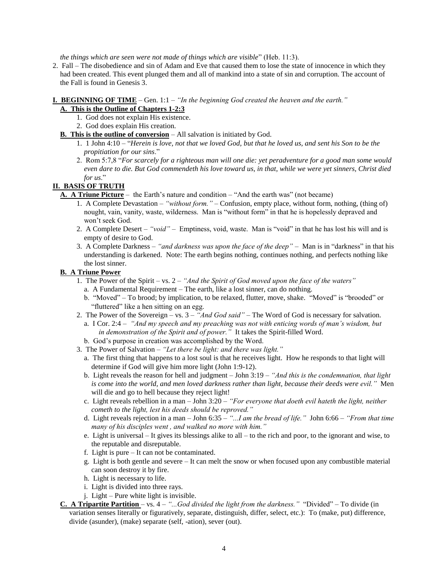*the things which are seen were not made of things which are visible*" (Heb. 11:3).

2. Fall – The disobedience and sin of Adam and Eve that caused them to lose the state of innocence in which they had been created. This event plunged them and all of mankind into a state of sin and corruption. The account of the Fall is found in Genesis 3.

# **I. BEGINNING OF TIME** – Gen. 1:1 – *"In the beginning God created the heaven and the earth."*

### **A. This is the Outline of Chapters 1-2:3**

- 1. God does not explain His existence.
- 2. God does explain His creation.
- **B. This is the outline of conversion** All salvation is initiated by God.
	- 1. 1 John 4:10 "*Herein is love, not that we loved God, but that he loved us, and sent his Son to be the propitiation for our sins*."
	- 2. Rom 5:7,8 "*For scarcely for a righteous man will one die: yet peradventure for a good man some would even dare to die. But God commendeth his love toward us, in that, while we were yet sinners, Christ died for us*."

# **II. BASIS OF TRUTH**

- **A. A Triune Picture** the Earth's nature and condition "And the earth was" (not became)
	- 1. A Complete Devastation *"without form." –* Confusion, empty place, without form, nothing, (thing of) nought, vain, vanity, waste, wilderness. Man is "without form" in that he is hopelessly depraved and won't seek God.
	- 2. A Complete Desert *"void" –* Emptiness, void, waste. Man is "void" in that he has lost his will and is empty of desire to God.
	- 3. A Complete Darkness *"and darkness was upon the face of the deep" –* Man is in "darkness" in that his understanding is darkened. Note: The earth begins nothing, continues nothing, and perfects nothing like the lost sinner.

#### **B. A Triune Power**

- 1. The Power of the Spirit vs. 2 *"And the Spirit of God moved upon the face of the waters"*
	- a. A Fundamental Requirement The earth, like a lost sinner, can do nothing.
	- b. "Moved" To brood; by implication, to be relaxed, flutter, move, shake. "Moved" is "brooded" or "fluttered" like a hen sitting on an egg.
- 2. The Power of the Sovereign vs. 3 *"And God said" –* The Word of God is necessary for salvation.
	- a. I Cor. 2:4 *"And my speech and my preaching was not with enticing words of man's wisdom, but in demonstration of the Spirit and of power."* It takes the Spirit-filled Word.
	- b. God's purpose in creation was accomplished by the Word.
- 3. The Power of Salvation *"Let there be light: and there was light."*
	- a. The first thing that happens to a lost soul is that he receives light. How he responds to that light will determine if God will give him more light (John 1:9-12).
	- b. Light reveals the reason for hell and judgment John 3:19 *"And this is the condemnation, that light is come into the world, and men loved darkness rather than light, because their deeds were evil."* Men will die and go to hell because they reject light!
	- c. Light reveals rebellion in a man John 3:20 *"For everyone that doeth evil hateth the light, neither cometh to the light, lest his deeds should be reproved."*
	- d. Light reveals rejection in a man John 6:35 *"...I am the bread of life."* John 6:66 *"From that time many of his disciples went , and walked no more with him."*
	- e. Light is universal It gives its blessings alike to all to the rich and poor, to the ignorant and wise, to the reputable and disreputable.
	- f. Light is pure It can not be contaminated.
	- g. Light is both gentle and severe It can melt the snow or when focused upon any combustible material can soon destroy it by fire.
	- h. Light is necessary to life.
	- i. Light is divided into three rays.
	- j. Light Pure white light is invisible.
- **C. A Tripartite Partition**  vs. 4 *"...God divided the light from the darkness."* "Divided" To divide (in variation senses literally or figuratively, separate, distinguish, differ, select, etc.): To (make, put) difference, divide (asunder), (make) separate (self, -ation), sever (out).